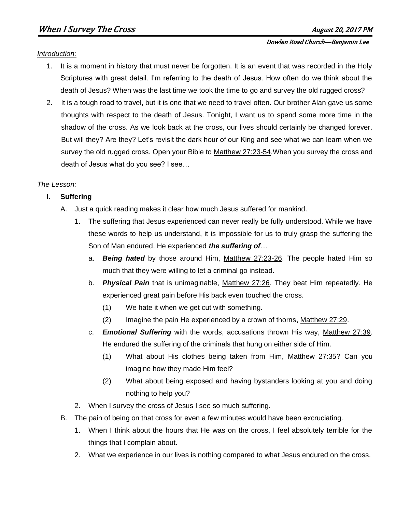#### Dowlen Road Church—Benjamin Lee

### *Introduction:*

- 1. It is a moment in history that must never be forgotten. It is an event that was recorded in the Holy Scriptures with great detail. I'm referring to the death of Jesus. How often do we think about the death of Jesus? When was the last time we took the time to go and survey the old rugged cross?
- 2. It is a tough road to travel, but it is one that we need to travel often. Our brother Alan gave us some thoughts with respect to the death of Jesus. Tonight, I want us to spend some more time in the shadow of the cross. As we look back at the cross, our lives should certainly be changed forever. But will they? Are they? Let's revisit the dark hour of our King and see what we can learn when we survey the old rugged cross. Open your Bible to Matthew 27:23-54.When you survey the cross and death of Jesus what do you see? I see…

### *The Lesson:*

### **I. Suffering**

- A. Just a quick reading makes it clear how much Jesus suffered for mankind.
	- 1. The suffering that Jesus experienced can never really be fully understood. While we have these words to help us understand, it is impossible for us to truly grasp the suffering the Son of Man endured. He experienced *the suffering of*…
		- a. *Being hated* by those around Him, Matthew 27:23-26. The people hated Him so much that they were willing to let a criminal go instead.
		- b. *Physical Pain* that is unimaginable, Matthew 27:26. They beat Him repeatedly. He experienced great pain before His back even touched the cross.
			- (1) We hate it when we get cut with something.
			- (2) Imagine the pain He experienced by a crown of thorns, Matthew 27:29.
		- c. *Emotional Suffering* with the words, accusations thrown His way, Matthew 27:39. He endured the suffering of the criminals that hung on either side of Him.
			- (1) What about His clothes being taken from Him, Matthew 27:35? Can you imagine how they made Him feel?
			- (2) What about being exposed and having bystanders looking at you and doing nothing to help you?
	- 2. When I survey the cross of Jesus I see so much suffering.
- B. The pain of being on that cross for even a few minutes would have been excruciating.
	- 1. When I think about the hours that He was on the cross, I feel absolutely terrible for the things that I complain about.
	- 2. What we experience in our lives is nothing compared to what Jesus endured on the cross.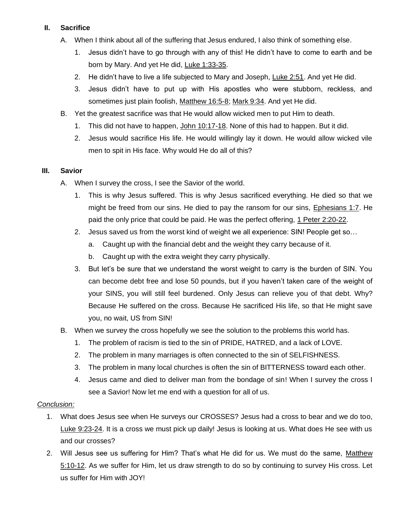# **II. Sacrifice**

- A. When I think about all of the suffering that Jesus endured, I also think of something else.
	- 1. Jesus didn't have to go through with any of this! He didn't have to come to earth and be born by Mary. And yet He did, Luke 1:33-35.
	- 2. He didn't have to live a life subjected to Mary and Joseph, Luke 2:51. And yet He did.
	- 3. Jesus didn't have to put up with His apostles who were stubborn, reckless, and sometimes just plain foolish, Matthew 16:5-8; Mark 9:34. And yet He did.
- B. Yet the greatest sacrifice was that He would allow wicked men to put Him to death.
	- 1. This did not have to happen, John 10:17-18. None of this had to happen. But it did.
	- 2. Jesus would sacrifice His life. He would willingly lay it down. He would allow wicked vile men to spit in His face. Why would He do all of this?

# **III. Savior**

- A. When I survey the cross, I see the Savior of the world.
	- 1. This is why Jesus suffered. This is why Jesus sacrificed everything. He died so that we might be freed from our sins. He died to pay the ransom for our sins, Ephesians 1:7. He paid the only price that could be paid. He was the perfect offering, 1 Peter 2:20-22.
	- 2. Jesus saved us from the worst kind of weight we all experience: SIN! People get so…
		- a. Caught up with the financial debt and the weight they carry because of it.
		- b. Caught up with the extra weight they carry physically.
	- 3. But let's be sure that we understand the worst weight to carry is the burden of SIN. You can become debt free and lose 50 pounds, but if you haven't taken care of the weight of your SINS, you will still feel burdened. Only Jesus can relieve you of that debt. Why? Because He suffered on the cross. Because He sacrificed His life, so that He might save you, no wait, US from SIN!
- B. When we survey the cross hopefully we see the solution to the problems this world has.
	- 1. The problem of racism is tied to the sin of PRIDE, HATRED, and a lack of LOVE.
	- 2. The problem in many marriages is often connected to the sin of SELFISHNESS.
	- 3. The problem in many local churches is often the sin of BITTERNESS toward each other.
	- 4. Jesus came and died to deliver man from the bondage of sin! When I survey the cross I see a Savior! Now let me end with a question for all of us.

# *Conclusion:*

- 1. What does Jesus see when He surveys our CROSSES? Jesus had a cross to bear and we do too, Luke 9:23-24. It is a cross we must pick up daily! Jesus is looking at us. What does He see with us and our crosses?
- 2. Will Jesus see us suffering for Him? That's what He did for us. We must do the same, Matthew 5:10-12. As we suffer for Him, let us draw strength to do so by continuing to survey His cross. Let us suffer for Him with JOY!